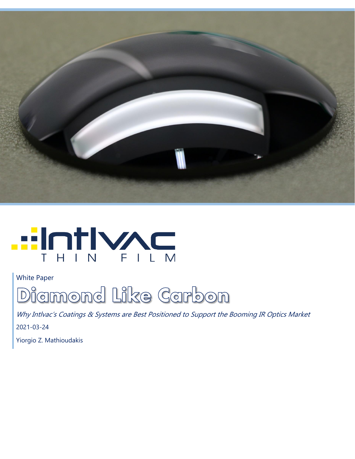



White Paper



Why Intlvac's Coatings & Systems are Best Positioned to Support the Booming IR Optics Market 2021-03-24

Yiorgio Z. Mathioudakis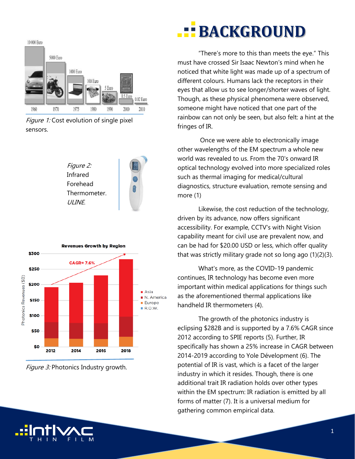

Figure 1: Cost evolution of single pixel sensors.

Figure 2: Infrared Forehead Thermometer. **ULINE** 



Figure 3: Photonics Industry growth.

## **BACKGROUND**

"There's more to this than meets the eye." This must have crossed Sir Isaac Newton's mind when he noticed that white light was made up of a spectrum of different colours. Humans lack the receptors in their eyes that allow us to see longer/shorter waves of light. Though, as these physical phenomena were observed, someone might have noticed that one part of the rainbow can not only be seen, but also felt: a hint at the fringes of IR.

Once we were able to electronically image other wavelengths of the EM spectrum a whole new world was revealed to us. From the 70's onward IR optical technology evolved into more specialized roles such as thermal imaging for medical/cultural diagnostics, structure evaluation, remote sensing and more (1)

Likewise, the cost reduction of the technology, driven by its advance, now offers significant accessibility. For example, CCTV's with Night Vision capability meant for civil use are prevalent now, and can be had for \$20.00 USD or less, which offer quality that was strictly military grade not so long ago (1)(2)(3).

What's more, as the COVID-19 pandemic continues, IR technology has become even more important within medical applications for things such as the aforementioned thermal applications like handheld IR thermometers (4).

The growth of the photonics industry is eclipsing \$282B and is supported by a 7.6% CAGR since 2012 according to SPIE reports (5). Further, IR specifically has shown a 25% increase in CAGR between 2014-2019 according to Yole Dévelopment (6). The potential of IR is vast, which is a facet of the larger industry in which it resides. Though, there is one additional trait IR radiation holds over other types within the EM spectrum: IR radiation is emitted by all forms of matter (7). It is a universal medium for gathering common empirical data.

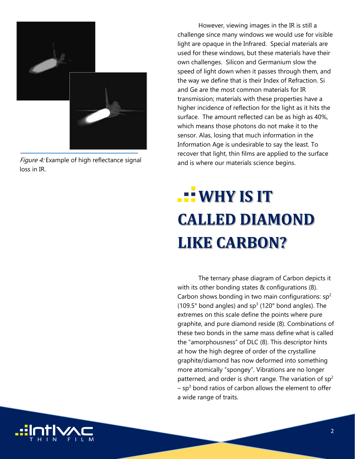

Figure 4: Example of high reflectance signal loss in IR.

However, viewing images in the IR is still a challenge since many windows we would use for visible light are opaque in the Infrared. Special materials are used for these windows, but these materials have their own challenges. Silicon and Germanium slow the speed of light down when it passes through them, and the way we define that is their Index of Refraction. Si and Ge are the most common materials for IR transmission; materials with these properties have a higher incidence of reflection for the light as it hits the surface. The amount reflected can be as high as 40%, which means those photons do not make it to the sensor. Alas, losing that much information in the Information Age is undesirable to say the least. To recover that light, thin films are applied to the surface and is where our materials science begins.

# **LEWHY IS IT CALLED DIAMOND LIKE CARBON?**

The ternary phase diagram of Carbon depicts it with its other bonding states & configurations (8). Carbon shows bonding in two main configurations:  $sp^2$ (109.5 $^{\circ}$  bond angles) and sp<sup>3</sup> (120 $^{\circ}$  bond angles). The extremes on this scale define the points where pure graphite, and pure diamond reside (8). Combinations of these two bonds in the same mass define what is called the "amorphousness" of DLC (8). This descriptor hints at how the high degree of order of the crystalline graphite/diamond has now deformed into something more atomically "spongey". Vibrations are no longer patterned, and order is short range. The variation of  $sp^2$  $-$  sp<sup>3</sup> bond ratios of carbon allows the element to offer a wide range of traits.

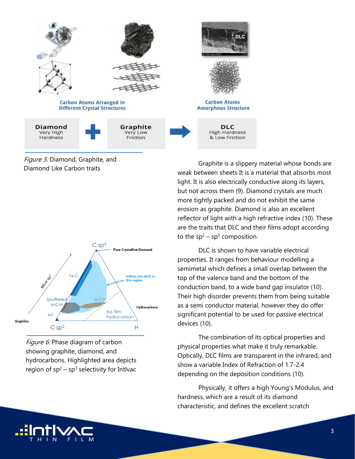

Figure 5: Diamond, Graphite, and Diamond Like Carbon traits



Figure 6: Phase diagram of carbon showing graphite, diamond, and hydrocarbons. Highlighted area depicts region of  $sp^2 - sp^3$  selectivity for Intlyac

Graphite is a slippery material whose bonds are weak between sheets It is a material that absorbs most light. It is also electrically conductive along its layers, but not across them (9). Diamond crystals are much more tightly packed and do not exhibit the same erosion as graphite. Diamond is also an excellent reflector of light with a high refractive index (10). These are the traits that DLC and their films adopt according to the  $sp^2$  – sp<sup>3</sup> composition.

DLC is shown to have variable electrical properties. It ranges from behaviour modelling a semimetal which defines a small overlap between the top of the valence band and the bottom of the conduction band, to a wide band gap insulator (10). Their high disorder prevents them from being suitable as a semi conductor material, however they do offer significant potential to be used for passive electrical devices (10).

The combination of its optical properties and physical properties what make it truly remarkable. Optically, DLC films are transparent in the infrared, and show a variable Index of Refraction of 1.7-2.4 depending on the deposition conditions (10).

Physically, it offers a high Young's Modulus, and hardness, which are a result of its diamond characteristic, and defines the excellent scratch

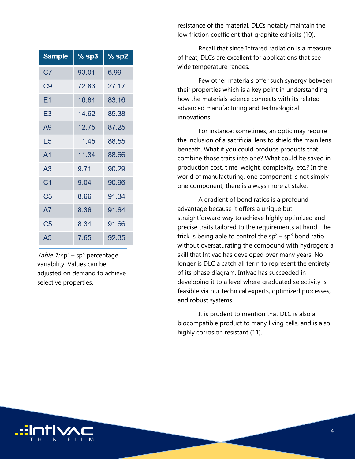| <b>Sample</b>  | $%$ sp3 | $%$ sp2 |
|----------------|---------|---------|
| C <sub>7</sub> | 93.01   | 6.99    |
| C9             | 72.83   | 27.17   |
| E1             | 16.84   | 83.16   |
| E3             | 14.62   | 85.38   |
| A9             | 12.75   | 87.25   |
| E5             | 11.45   | 88.55   |
| A <sub>1</sub> | 11.34   | 88.66   |
| A <sub>3</sub> | 9.71    | 90.29   |
| C <sub>1</sub> | 9.04    | 90.96   |
| C <sub>3</sub> | 8.66    | 91.34   |
| A7             | 8.36    | 91.64   |
| C5             | 8.34    | 91.66   |
| A <sub>5</sub> | 7.65    | 92.35   |

Table 1:  $sp^2$  –  $sp^3$  percentage variability. Values can be adjusted on demand to achieve selective properties.

resistance of the material. DLCs notably maintain the low friction coefficient that graphite exhibits (10).

Recall that since Infrared radiation is a measure of heat, DLCs are excellent for applications that see wide temperature ranges.

Few other materials offer such synergy between their properties which is a key point in understanding how the materials science connects with its related advanced manufacturing and technological innovations.

For instance: sometimes, an optic may require the inclusion of a sacrificial lens to shield the main lens beneath. What if you could produce products that combine those traits into one? What could be saved in production cost, time, weight, complexity, etc.? In the world of manufacturing, one component is not simply one component; there is always more at stake.

A gradient of bond ratios is a profound advantage because it offers a unique but straightforward way to achieve highly optimized and precise traits tailored to the requirements at hand. The trick is being able to control the  $sp^2$  – sp<sup>3</sup> bond ratio without oversaturating the compound with hydrogen; a skill that Intlvac has developed over many years. No longer is DLC a catch all term to represent the entirety of its phase diagram. Intlvac has succeeded in developing it to a level where graduated selectivity is feasible via our technical experts, optimized processes, and robust systems.

It is prudent to mention that DLC is also a biocompatible product to many living cells, and is also highly corrosion resistant (11).

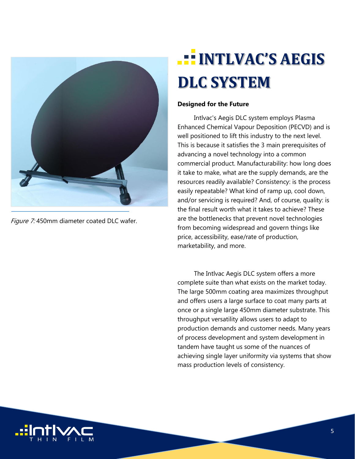

Figure 7:450mm diameter coated DLC wafer.

### **INTLVAC'S AEGIS DLC SYSTEM**

#### **Designed for the Future**

Intlvac's Aegis DLC system employs Plasma Enhanced Chemical Vapour Deposition (PECVD) and is well positioned to lift this industry to the next level. This is because it satisfies the 3 main prerequisites of advancing a novel technology into a common commercial product. Manufacturability: how long does it take to make, what are the supply demands, are the resources readily available? Consistency: is the process easily repeatable? What kind of ramp up, cool down, and/or servicing is required? And, of course, quality: is the final result worth what it takes to achieve? These are the bottlenecks that prevent novel technologies from becoming widespread and govern things like price, accessibility, ease/rate of production, marketability, and more.

The Intlvac Aegis DLC system offers a more complete suite than what exists on the market today. The large 500mm coating area maximizes throughput and offers users a large surface to coat many parts at once or a single large 450mm diameter substrate. This throughput versatility allows users to adapt to production demands and customer needs. Many years of process development and system development in tandem have taught us some of the nuances of achieving single layer uniformity via systems that show mass production levels of consistency.

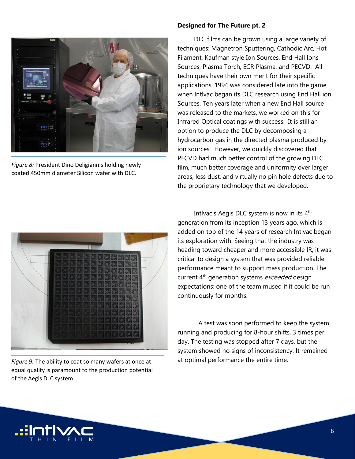

*Figure 8:* President Dino Deligiannis holding newly coated 450mm diameter Silicon wafer with DLC.

#### **Designed for The Future pt. 2**

DLC films can be grown using a large variety of techniques: Magnetron Sputtering, Cathodic Arc, Hot Filament, Kaufman style Ion Sources, End Hall Ions Sources, Plasma Torch, ECR Plasma, and PECVD. All techniques have their own merit for their specific applications. 1994 was considered late into the game when Intlvac began its DLC research using End Hall ion Sources. Ten years later when a new End Hall source was released to the markets, we worked on this for Infrared Optical coatings with success. It is still an option to produce the DLC by decomposing a hydrocarbon gas in the directed plasma produced by ion sources. However, we quickly discovered that PECVD had much better control of the growing DLC film, much better coverage and uniformity over larger areas, less dust, and virtually no pin hole defects due to the proprietary technology that we developed.



*Figure 9:* The ability to coat so many wafers at once at equal quality is paramount to the production potential of the Aegis DLC system.

Intlvac's Aegis DLC system is now in its 4<sup>th</sup> generation from its inception 13 years ago, which is added on top of the 14 years of research Intlvac began its exploration with. Seeing that the industry was heading toward cheaper and more accessible IR, it was critical to design a system that was provided reliable performance meant to support mass production. The current 4<sup>th</sup> generation systems exceeded design expectations: one of the team mused if it could be run continuously for months.

A test was soon performed to keep the system running and producing for 8-hour shifts, 3 times per day. The testing was stopped after 7 days, but the system showed no signs of inconsistency. It remained at optimal performance the entire time.

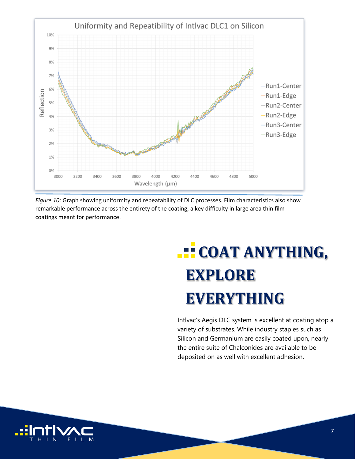

*Figure 10:* Graph showing uniformity and repeatability of DLC processes. Film characteristics also show remarkable performance across the entirety of the coating, a key difficulty in large area thin film coatings meant for performance.

# **COAT ANYTHING, EXPLORE EVERYTHING**

Intlvac's Aegis DLC system is excellent at coating atop a variety of substrates. While industry staples such as Silicon and Germanium are easily coated upon, nearly the entire suite of Chalconides are available to be deposited on as well with excellent adhesion.

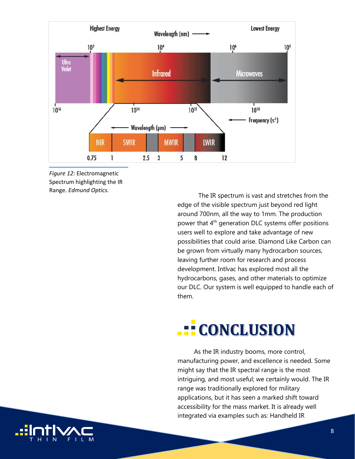

*Figure 12:* Electromagnetic Spectrum highlighting the IR Range. *Edmund Optics.*

The IR spectrum is vast and stretches from the edge of the visible spectrum just beyond red light around 700nm, all the way to 1mm. The production power that 4<sup>th</sup> generation DLC systems offer positions users well to explore and take advantage of new possibilities that could arise. Diamond Like Carbon can be grown from virtually many hydrocarbon sources, leaving further room for research and process development. Intlvac has explored most all the hydrocarbons, gases, and other materials to optimize our DLC. Our system is well equipped to handle each of them.

### **CONCLUSION**

As the IR industry booms, more control, manufacturing power, and excellence is needed. Some might say that the IR spectral range is the most intriguing, and most useful; we certainly would. The IR range was traditionally explored for military applications, but it has seen a marked shift toward accessibility for the mass market. It is already well integrated via examples such as: Handheld IR